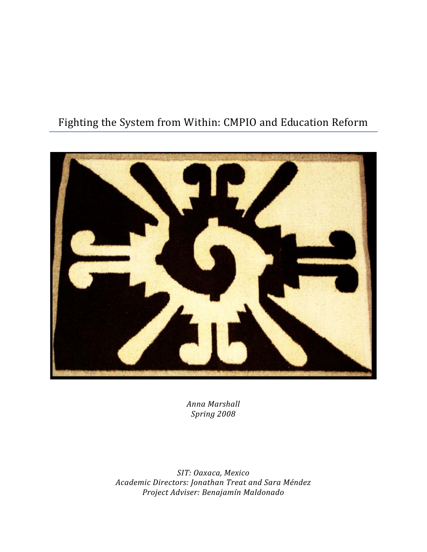# Fighting the System from Within: CMPIO and Education Reform



*Anna Marshall Spring 2008*

*SIT: Oaxaca, Mexico Academic Directors: Jonathan Treat and Sara Méndez Project Adviser: Benajamín Maldonado*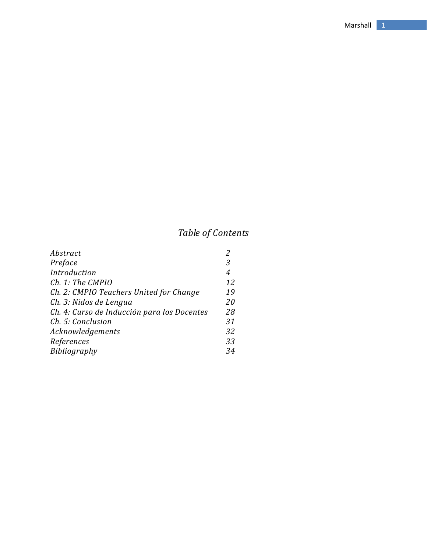# *Table of Contents*

| Abstract                                    |    |
|---------------------------------------------|----|
| Preface                                     | 3  |
| Introduction                                | 4  |
| Ch. 1: The CMPIO                            | 12 |
| Ch. 2: CMPIO Teachers United for Change     | 19 |
| Ch. 3: Nidos de Lengua                      | 20 |
| Ch. 4: Curso de Inducción para los Docentes | 28 |
| Ch. 5: Conclusion                           | 31 |
| Acknowledgements                            | 32 |
| References                                  | 33 |
| Bibliography                                | 34 |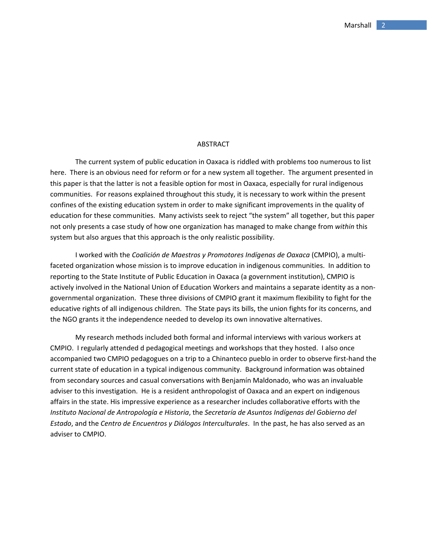#### **ABSTRACT**

The current system of public education in Oaxaca is riddled with problems too numerous to list here. There is an obvious need for reform or for a new system all together. The argument presented in this paper is that the latter is not a feasible option for most in Oaxaca, especially for rural indigenous communities. For reasons explained throughout this study, it is necessary to work within the present confines of the existing education system in order to make significant improvements in the quality of education for these communities. Many activists seek to reject "the system" all together, but this paper not only presents a case study of how one organization has managed to make change from *within* this system but also argues that this approach is the only realistic possibility.

I worked with the *Coalición de Maestros y Promotores Indígenas de Oaxaca* (CMPIO), a multi‐ faceted organization whose mission is to improve education in indigenous communities. In addition to reporting to the State Institute of Public Education in Oaxaca (a government institution), CMPIO is actively involved in the National Union of Education Workers and maintains a separate identity as a non‐ governmental organization. These three divisions of CMPIO grant it maximum flexibility to fight for the educative rights of all indigenous children. The State pays its bills, the union fights for its concerns, and the NGO grants it the independence needed to develop its own innovative alternatives.

My research methods included both formal and informal interviews with various workers at CMPIO. I regularly attended d pedagogical meetings and workshops that they hosted. I also once accompanied two CMPIO pedagogues on a trip to a Chinanteco pueblo in order to observe first‐hand the current state of education in a typical indigenous community. Background information was obtained from secondary sources and casual conversations with Benjamín Maldonado, who was an invaluable adviser to this investigation. He is a resident anthropologist of Oaxaca and an expert on indigenous affairs in the state. His impressive experience as a researcher includes collaborative efforts with the *Instituto Nacional de Antropología e Historia*, the *Secretaría de Asuntos Indígenas del Gobierno del Estado*, and the *Centro de Encuentros y Diálogos Interculturales*. In the past, he has also served as an adviser to CMPIO.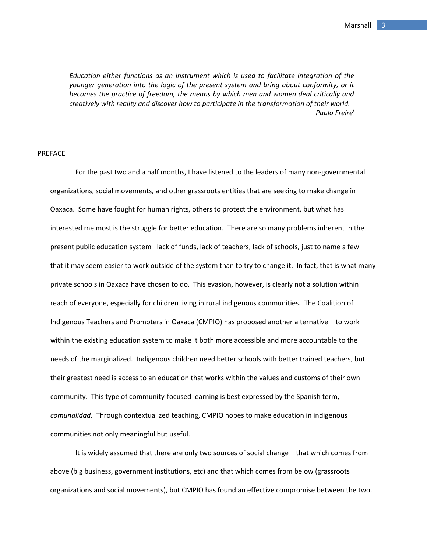*Education either functions as an instrument which is used to facilitate integration of the younger generation into the logic of the present system and bring about conformity, or it becomes the practice of freedom, the means by which men and women deal critically and creatively with reality and discover how to participate in the transformation of their world. – Paulo Freire<sup>i</sup>*

## PREFACE

For the past two and a half months, I have listened to the leaders of many non‐governmental organizations, social movements, and other grassroots entities that are seeking to make change in Oaxaca. Some have fought for human rights, others to protect the environment, but what has interested me most is the struggle for better education. There are so many problems inherent in the present public education system– lack of funds, lack of teachers, lack of schools, just to name a few – that it may seem easier to work outside of the system than to try to change it. In fact, that is what many private schools in Oaxaca have chosen to do. This evasion, however, is clearly not a solution within reach of everyone, especially for children living in rural indigenous communities. The Coalition of Indigenous Teachers and Promoters in Oaxaca (CMPIO) has proposed another alternative – to work within the existing education system to make it both more accessible and more accountable to the needs of the marginalized. Indigenous children need better schools with better trained teachers, but their greatest need is access to an education that works within the values and customs of their own community. This type of community‐focused learning is best expressed by the Spanish term, *comunalidad.* Through contextualized teaching, CMPIO hopes to make education in indigenous communities not only meaningful but useful.

It is widely assumed that there are only two sources of social change – that which comes from above (big business, government institutions, etc) and that which comes from below (grassroots organizations and social movements), but CMPIO has found an effective compromise between the two.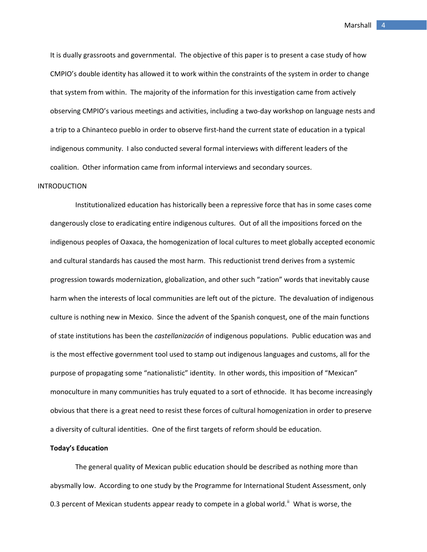It is dually grassroots and governmental. The objective of this paper is to present a case study of how CMPIO's double identity has allowed it to work within the constraints of the system in order to change that system from within. The majority of the information for this investigation came from actively observing CMPIO's various meetings and activities, including a two‐day workshop on language nests and a trip to a Chinanteco pueblo in order to observe first-hand the current state of education in a typical indigenous community. I also conducted several formal interviews with different leaders of the coalition. Other information came from informal interviews and secondary sources.

### INTRODUCTION

Institutionalized education has historically been a repressive force that has in some cases come dangerously close to eradicating entire indigenous cultures. Out of all the impositions forced on the indigenous peoples of Oaxaca, the homogenization of local cultures to meet globally accepted economic and cultural standards has caused the most harm. This reductionist trend derives from a systemic progression towards modernization, globalization, and other such "zation" words that inevitably cause harm when the interests of local communities are left out of the picture. The devaluation of indigenous culture is nothing new in Mexico. Since the advent of the Spanish conquest, one of the main functions of state institutions has been the *castellanización* of indigenous populations. Public education was and is the most effective government tool used to stamp out indigenous languages and customs, all for the purpose of propagating some "nationalistic" identity. In other words, this imposition of "Mexican" monoculture in many communities has truly equated to a sort of ethnocide. It has become increasingly obvious that there is a great need to resist these forces of cultural homogenization in order to preserve a diversity of cultural identities. One of the first targets of reform should be education.

## **Today's Education**

The general quality of Mexican public education should be described as nothing more than abysmally low. According to one study by the Programme for International Student Assessment, only 0.3 percent of Mexican students appear ready to compete in a global world.<sup>[ii](#page-35-0)</sup> What is worse, the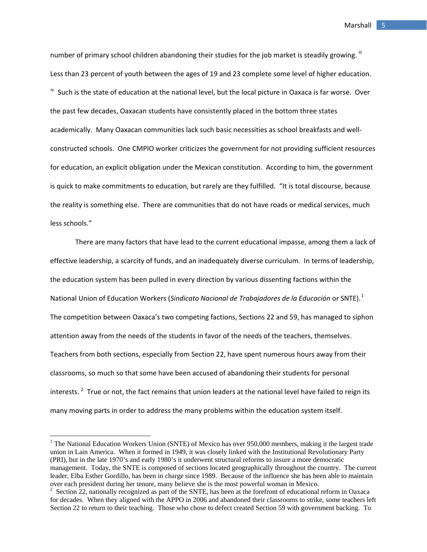number of primary school children abandoning their studies for the job market is steadily growing. " Less than 23 percent of youth between the ages of 19 and 23 complete some level of higher education. <sup>[iv](#page-35-1)</sup> Such is the state of education at the national level, but the local picture in Oaxaca is far worse. Over the past few decades, Oaxacan students have consistently placed in the bottom three states academically. Many Oaxacan communities lack such basic necessities as school breakfasts and well‐ constructed schools. One CMPIO worker criticizes the government for not providing sufficient resources for education, an explicit obligation under the Mexican constitution. According to him, the government is quick to make commitments to education, but rarely are they fulfilled. "It is total discourse, because the reality is something else. There are communities that do not have roads or medical services, much less schools."

There are many factors that have lead to the current educational impasse, among them a lack of effective leadership, a scarcity of funds, and an inadequately diverse curriculum. In terms of leadership, the education system has been pulled in every direction by various dissenting factions within the National Union of Education Workers (*Sindicato Nacional de Trabajadores de la Educación* or SNTE).[1](#page-5-0) The competition between Oaxaca's two competing factions, Sections 22 and 59, has managed to siphon attention away from the needs of the students in favor of the needs of the teachers, themselves. Teachers from both sections, especially from Section 22, have spent numerous hours away from their classrooms, so much so that some have been accused of abandoning their students for personal interests.  $^{2}$  $^{2}$  $^{2}$  True or not, the fact remains that union leaders at the national level have failed to reign its many moving parts in order to address the many problems within the education system itself.

<span id="page-5-0"></span><sup>&</sup>lt;sup>1</sup> The National Education Workers Union (SNTE) of Mexico has over 950,000 members, making it the largest trade union in Lain America. When it formed in 1949, it was closely linked with the Institutional Revolutionary Party (PRI), but in the late 1970's and early 1980's it underwent structural reforms to insure a more democratic management. Today, the SNTE is composed of sections located geographically throughout the country. The current leader, Elba Esther Gordillo, has been in charge since 1989. Because of the influence she has been able to maintain over each president during her tenure, many believe she is the most powerful woman in Mexico.

<span id="page-5-1"></span> $2$  Section 22, nationally recognized as part of the SNTE, has been at the forefront of educational reform in Oaxaca for decades. When they aligned with the APPO in 2006 and abandoned their classrooms to strike, some teachers left Section 22 to return to their teaching. Those who chose to defect created Section 59 with government backing. To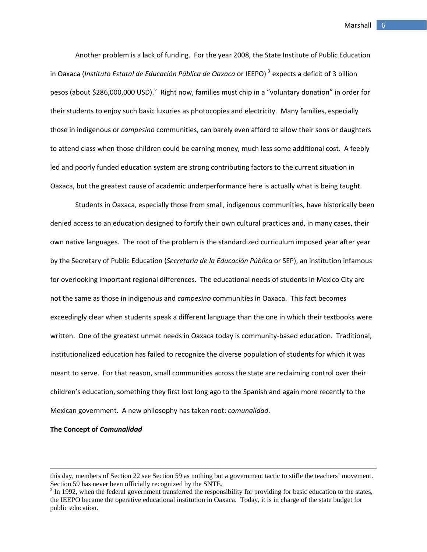Another problem is a lack of funding. For the year 2008, the State Institute of Public Education in Oaxaca (*Instituto Estatal de Educación Pública de Oaxaca* or IEEPO) [3](#page-6-0) expects a deficit of 3 billion pesos (about \$286,000,000 USD). <sup>[v](#page-35-1)</sup> Right now, families must chip in a "voluntary donation" in order for their students to enjoy such basic luxuries as photocopies and electricity. Many families, especially those in indigenous or *campesino* communities, can barely even afford to allow their sons or daughters to attend class when those children could be earning money, much less some additional cost. A feebly led and poorly funded education system are strong contributing factors to the current situation in Oaxaca, but the greatest cause of academic underperformance here is actually what is being taught.

Students in Oaxaca, especially those from small, indigenous communities, have historically been denied access to an education designed to fortify their own cultural practices and, in many cases, their own native languages. The root of the problem is the standardized curriculum imposed year after year by the Secretary of Public Education (*Secretaría de la Educación Pública* or SEP), an institution infamous for overlooking important regional differences. The educational needs of students in Mexico City are not the same as those in indigenous and *campesino* communities in Oaxaca. This fact becomes exceedingly clear when students speak a different language than the one in which their textbooks were written. One of the greatest unmet needs in Oaxaca today is community-based education. Traditional, institutionalized education has failed to recognize the diverse population of students for which it was meant to serve. For that reason, small communities across the state are reclaiming control over their children's education, something they first lost long ago to the Spanish and again more recently to the Mexican government. A new philosophy has taken root: *comunalidad*.

## **The Concept of** *Comunalidad*

<u> Andrewski politika (za obrazu pod predsjednika u predsjednika u predsjednika u predsjednika (za obrazu pod p</u>

this day, members of Section 22 see Section 59 as nothing but a government tactic to stifle the teachers' movement. Section 59 has never been officially recognized by the SNTE.

<span id="page-6-0"></span> $3 \text{ In } 1992$ , when the federal government transferred the responsibility for providing for basic education to the states, the IEEPO became the operative educational institution in Oaxaca. Today, it is in charge of the state budget for public education.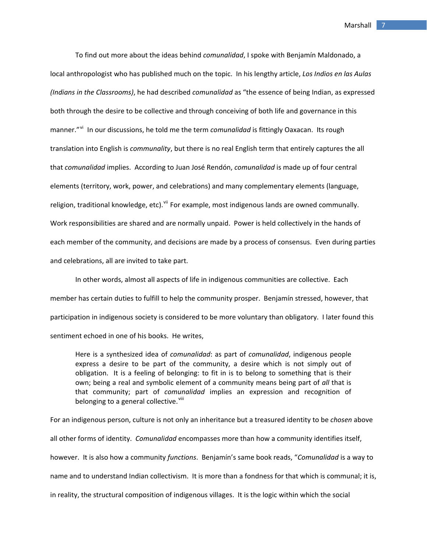To find out more about the ideas behind *comunalidad*, I spoke with Benjamín Maldonado, a local anthropologist who has published much on the topic. In his lengthy article, *Los Indios en las Aulas (Indians in the Classrooms)*, he had described *comunalidad* as "the essence of being Indian, as expressed both through the desire to be collective and through conceiving of both life and governance in this manner."<sup>[vi](#page-35-1)</sup> In our discussions, he told me the term *comunalidad* is fittingly Oaxacan. Its rough translation into English is *communality*, but there is no real English term that entirely captures the all that *comunalidad* implies. According to Juan José Rendón, *comunalidad* is made up of four central elements (territory, work, power, and celebrations) and many complementary elements (language, religion, traditional knowledge, etc). Vii For example, most indigenous lands are owned communally. Work responsibilities are shared and are normally unpaid. Power is held collectively in the hands of each member of the community, and decisions are made by a process of consensus. Even during parties and celebrations, all are invited to take part.

In other words, almost all aspects of life in indigenous communities are collective. Each member has certain duties to fulfill to help the community prosper. Benjamín stressed, however, that participation in indigenous society is considered to be more voluntary than obligatory. I later found this sentiment echoed in one of his books. He writes,

Here is a synthesized idea of *comunalidad*: as part of *comunalidad*, indigenous people express a desire to be part of the community, a desire which is not simply out of obligation. It is a feeling of belonging: to fit in is to belong to something that is their own; being a real and symbolic element of a community means being part of *all* that is that community; part of *comunalidad* implies an expression and recognition of belonging to a general collective.<sup>[viii](#page-35-1)</sup>

For an indigenous person, culture is not only an inheritance but a treasured identity to be *chosen* above all other forms of identity. *Comunalidad* encompasses more than how a community identifies itself, however. It is also how a community *functions*. Benjamín's same book reads, "*Comunalidad* is a way to name and to understand Indian collectivism. It is more than a fondness for that which is communal; it is, in reality, the structural composition of indigenous villages. It is the logic within which the social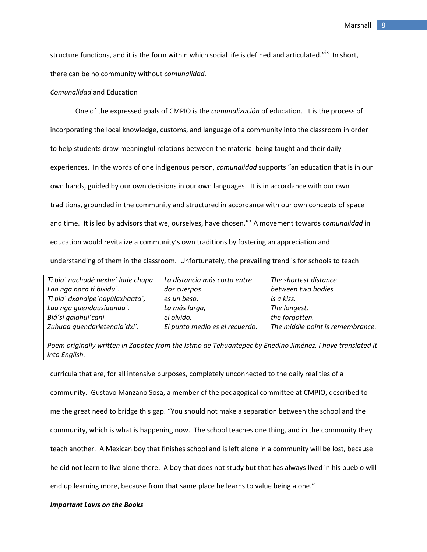structure functions, and it is the form within which social life is defined and articulated."<sup>[ix](#page-35-1)</sup> In short, there can be no community without *comunalidad.*

## *Comunalidad* and Education

One of the expressed goals of CMPIO is the *comunalización* of education. It is the process of incorporating the local knowledge, customs, and language of a community into the classroom in order to help students draw meaningful relations between the material being taught and their daily experiences. In the words of one indigenous person, *comunalidad* supports "an education that is in our own hands, guided by our own decisions in our own languages. It is in accordance with our own traditions, grounded in the community and structured in accordance with our own concepts of space and time. It is led by advisors that we, ourselves, have chosen."<sup>[x](#page-35-1)</sup> A movement towards comunalidad in education would revitalize a community's own traditions by fostering an appreciation and understanding of them in the classroom. Unfortunately, the prevailing trend is for schools to teach

| Ti bia' nachudé nexhe' lade chupa | La distancia más corta entre   | The shortest distance            |
|-----------------------------------|--------------------------------|----------------------------------|
| Laa nga naca ti bixidu'.          | dos cuerpos                    | between two bodies               |
| Ti bia' dxandipe'nayúlaxhaata',   | es un beso.                    | is a kiss.                       |
| Laa nga quendausiaanda'.          | La más larga,                  | The longest,                     |
| Biá'si galahui'cani               | el olvido.                     | the forgotten.                   |
| Zuhuaa guendarietenala'dxi'.      | El punto medio es el recuerdo. | The middle point is remembrance. |

*Poem originally written in Zapotec from the Istmo de Tehuantepec by Enedino Jiménez. I have translated it into English.*

curricula that are, for all intensive purposes, completely unconnected to the daily realities of a community. Gustavo Manzano Sosa, a member of the pedagogical committee at CMPIO, described to me the great need to bridge this gap. "You should not make a separation between the school and the community, which is what is happening now. The school teaches one thing, and in the community they teach another. A Mexican boy that finishes school and is left alone in a community will be lost, because he did not learn to live alone there. A boy that does not study but that has always lived in his pueblo will end up learning more, because from that same place he learns to value being alone."

## *Important Laws on the Books*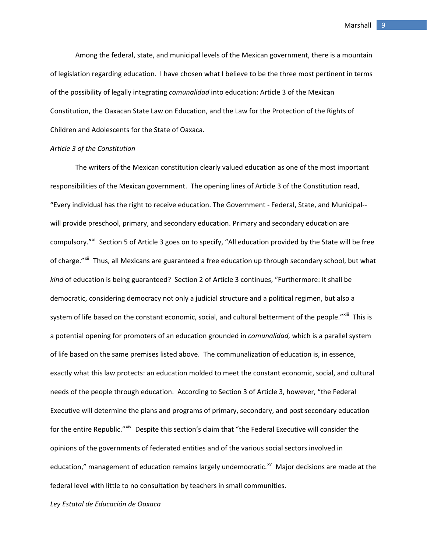Among the federal, state, and municipal levels of the Mexican government, there is a mountain of legislation regarding education. I have chosen what I believe to be the three most pertinent in terms of the possibility of legally integrating *comunalidad* into education: Article 3 of the Mexican Constitution, the Oaxacan State Law on Education, and the Law for the Protection of the Rights of Children and Adolescents for the State of Oaxaca.

## *Article 3 of the Constitution*

The writers of the Mexican constitution clearly valued education as one of the most important responsibilities of the Mexican government. The opening lines of Article 3 of the Constitution read, "Every individual has the right to receive education. The Government ‐ Federal, State, and Municipal‐‐ will provide preschool, primary, and secondary education. Primary and secondary education are compulsory."<sup>[xi](#page-35-1)</sup> Section 5 of Article 3 goes on to specify, "All education provided by the State will be free of charge."<sup>[xii](#page-35-1)</sup> Thus, all Mexicans are guaranteed a free education up through secondary school, but what *kind* of education is being guaranteed? Section 2 of Article 3 continues, "Furthermore: It shall be democratic, considering democracy not only a judicial structure and a political regimen, but also a system of life based on the constant economic, social, and cultural betterment of the people."<sup>[xiii](#page-35-1)</sup> This is a potential opening for promoters of an education grounded in *comunalidad,* which is a parallel system of life based on the same premises listed above. The communalization of education is, in essence, exactly what this law protects: an education molded to meet the constant economic, social, and cultural needs of the people through education. According to Section 3 of Article 3, however, "the Federal Executive will determine the plans and programs of primary, secondary, and post secondary education for the entire Republic." [xiv](#page-35-1) Despite this section's claim that "the Federal Executive will consider the opinions of the governments of federated entities and of the various social sectors involved in education," management of education remains largely undemocratic.<sup>[xv](#page-35-1)</sup> Major decisions are made at the federal level with little to no consultation by teachers in small communities.

*Ley Estatal de Educación de Oaxaca*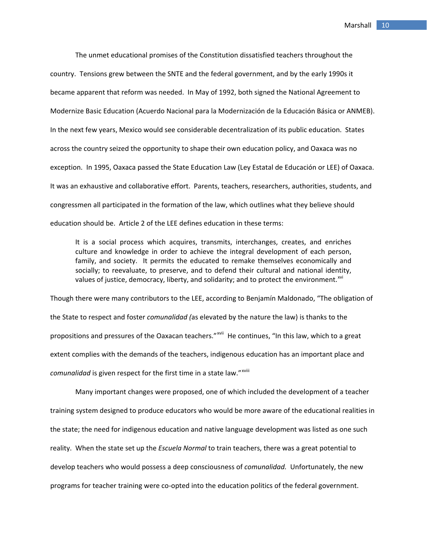The unmet educational promises of the Constitution dissatisfied teachers throughout the country. Tensions grew between the SNTE and the federal government, and by the early 1990s it became apparent that reform was needed. In May of 1992, both signed the National Agreement to Modernize Basic Education (Acuerdo Nacional para la Modernización de la Educación Básica or ANMEB). In the next few years, Mexico would see considerable decentralization of its public education. States across the country seized the opportunity to shape their own education policy, and Oaxaca was no exception. In 1995, Oaxaca passed the State Education Law (Ley Estatal de Educación or LEE) of Oaxaca. It was an exhaustive and collaborative effort. Parents, teachers, researchers, authorities, students, and congressmen all participated in the formation of the law, which outlines what they believe should education should be. Article 2 of the LEE defines education in these terms:

It is a social process which acquires, transmits, interchanges, creates, and enriches culture and knowledge in order to achieve the integral development of each person, family, and society. It permits the educated to remake themselves economically and socially; to reevaluate, to preserve, and to defend their cultural and national identity, values of justice, democracy, liberty, and solidarity; and to protect the environment.<sup>[xvi](#page-35-1)</sup>

Though there were many contributors to the LEE, according to Benjamín Maldonado, "The obligation of the State to respect and foster *comunalidad (*as elevated by the nature the law) is thanks to the propositions and pressures of the Oaxacan teachers."<sup>[xvii](#page-35-1)</sup> He continues, "In this law, which to a great extent complies with the demands of the teachers, indigenous education has an important place and *comunalidad* is given respect for the first time in a state law."<sup>[xviii](#page-35-1)</sup>

Many important changes were proposed, one of which included the development of a teacher training system designed to produce educators who would be more aware of the educational realities in the state; the need for indigenous education and native language development was listed as one such reality. When the state set up the *Escuela Normal* to train teachers, there was a great potential to develop teachers who would possess a deep consciousness of *comunalidad.* Unfortunately, the new programs for teacher training were co‐opted into the education politics of the federal government.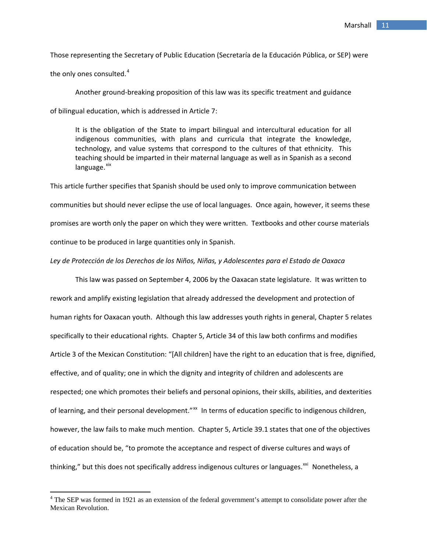Those representing the Secretary of Public Education (Secretaría de la Educación Pública, or SEP) were

the only ones consulted. $^4\,$  $^4\,$  $^4\,$ 

Another ground‐breaking proposition of this law was its specific treatment and guidance of bilingual education, which is addressed in Article 7:

It is the obligation of the State to impart bilingual and intercultural education for all indigenous communities, with plans and curricula that integrate the knowledge, technology, and value systems that correspond to the cultures of that ethnicity. This teaching should be imparted in their maternal language as well as in Spanish as a second  $language.$  $xix$ 

This article further specifies that Spanish should be used only to improve communication between communities but should never eclipse the use of local languages. Once again, however, it seems these promises are worth only the paper on which they were written. Textbooks and other course materials continue to be produced in large quantities only in Spanish.

## *Ley de Protección de los Derechos de los Niños, Niñas, y Adolescentes para el Estado de Oaxaca*

This law was passed on September 4, 2006 by the Oaxacan state legislature. It was written to rework and amplify existing legislation that already addressed the development and protection of human rights for Oaxacan youth. Although this law addresses youth rights in general, Chapter 5 relates specifically to their educational rights. Chapter 5, Article 34 of this law both confirms and modifies Article 3 of the Mexican Constitution: "[All children] have the right to an education that is free, dignified, effective, and of quality; one in which the dignity and integrity of children and adolescents are respected; one which promotes their beliefs and personal opinions, their skills, abilities, and dexterities of learning, and their personal development."<sup>[xx](#page-35-1)</sup> In terms of education specific to indigenous children, however, the law fails to make much mention. Chapter 5, Article 39.1 states that one of the objectives of education should be, "to promote the acceptance and respect of diverse cultures and ways of thinking," but this does not specifically address indigenous cultures or languages.<sup>[xxi](#page-35-1)</sup> Nonetheless, a

<span id="page-11-0"></span> $4$  The SEP was formed in 1921 as an extension of the federal government's attempt to consolidate power after the Mexican Revolution.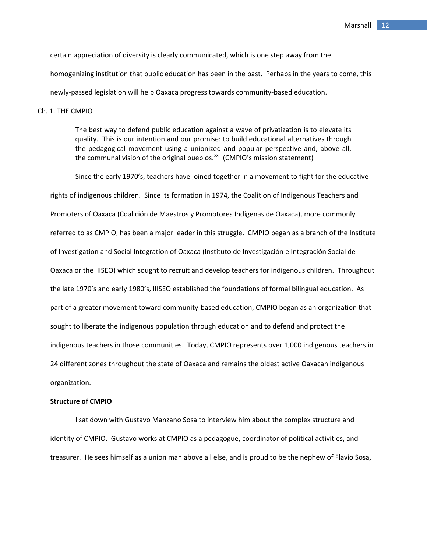certain appreciation of diversity is clearly communicated, which is one step away from the homogenizing institution that public education has been in the past. Perhaps in the years to come, this newly‐passed legislation will help Oaxaca progress towards community‐based education.

Ch. 1. THE CMPIO

The best way to defend public education against a wave of privatization is to elevate its quality. This is our intention and our promise: to build educational alternatives through the pedagogical movement using a unionized and popular perspective and, above all, the communal vision of the original pueblos.<sup>[xxii](#page-35-1)</sup> (CMPIO's mission statement)

Since the early 1970's, teachers have joined together in a movement to fight for the educative rights of indigenous children. Since its formation in 1974, the Coalition of Indigenous Teachers and Promoters of Oaxaca (Coalición de Maestros y Promotores Indígenas de Oaxaca), more commonly referred to as CMPIO, has been a major leader in this struggle. CMPIO began as a branch of the Institute of Investigation and Social Integration of Oaxaca (Instituto de Investigación e Integración Social de Oaxaca or the IIISEO) which sought to recruit and develop teachers for indigenous children. Throughout the late 1970's and early 1980's, IIISEO established the foundations of formal bilingual education. As part of a greater movement toward community‐based education, CMPIO began as an organization that sought to liberate the indigenous population through education and to defend and protect the indigenous teachers in those communities. Today, CMPIO represents over 1,000 indigenous teachers in 24 different zones throughout the state of Oaxaca and remains the oldest active Oaxacan indigenous organization.

#### **Structure of CMPIO**

I sat down with Gustavo Manzano Sosa to interview him about the complex structure and identity of CMPIO. Gustavo works at CMPIO as a pedagogue, coordinator of political activities, and treasurer. He sees himself as a union man above all else, and is proud to be the nephew of Flavio Sosa,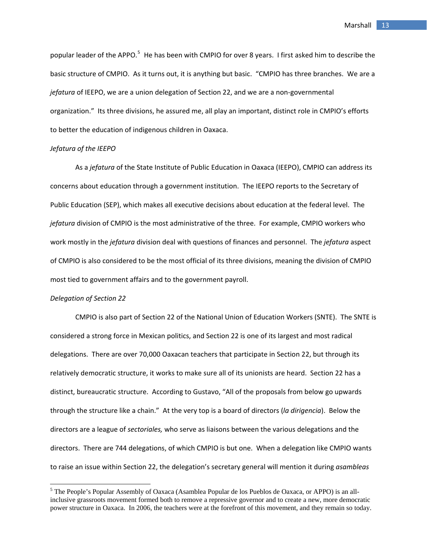popular leader of the APPO.<sup>[5](#page-13-0)</sup> He has been with CMPIO for over 8 years. I first asked him to describe the basic structure of CMPIO. As it turns out, it is anything but basic. "CMPIO has three branches. We are a *jefatura* of IEEPO, we are a union delegation of Section 22, and we are a non‐governmental organization." Its three divisions, he assured me, all play an important, distinct role in CMPIO's efforts to better the education of indigenous children in Oaxaca.

## *Jefatura of the IEEPO*

As a *jefatura* of the State Institute of Public Education in Oaxaca (IEEPO), CMPIO can address its concerns about education through a government institution. The IEEPO reports to the Secretary of Public Education (SEP), which makes all executive decisions about education at the federal level. The *jefatura* division of CMPIO is the most administrative of the three. For example, CMPIO workers who work mostly in the *jefatura* division deal with questions of finances and personnel. The *jefatura* aspect of CMPIO is also considered to be the most official of its three divisions, meaning the division of CMPIO most tied to government affairs and to the government payroll.

## *Delegation of Section 22*

CMPIO is also part of Section 22 of the National Union of Education Workers (SNTE). The SNTE is considered a strong force in Mexican politics, and Section 22 is one of its largest and most radical delegations. There are over 70,000 Oaxacan teachers that participate in Section 22, but through its relatively democratic structure, it works to make sure all of its unionists are heard. Section 22 has a distinct, bureaucratic structure. According to Gustavo, "All of the proposals from below go upwards through the structure like a chain." At the very top is a board of directors (*la dirigencia*). Below the directors are a league of *sectoriales,* who serve as liaisons between the various delegations and the directors. There are 744 delegations, of which CMPIO is but one. When a delegation like CMPIO wants to raise an issue within Section 22, the delegation's secretary general will mention it during *asambleas*

<span id="page-13-0"></span><sup>&</sup>lt;sup>5</sup> The People's Popular Assembly of Oaxaca (Asamblea Popular de los Pueblos de Oaxaca, or APPO) is an allinclusive grassroots movement formed both to remove a repressive governor and to create a new, more democratic power structure in Oaxaca. In 2006, the teachers were at the forefront of this movement, and they remain so today.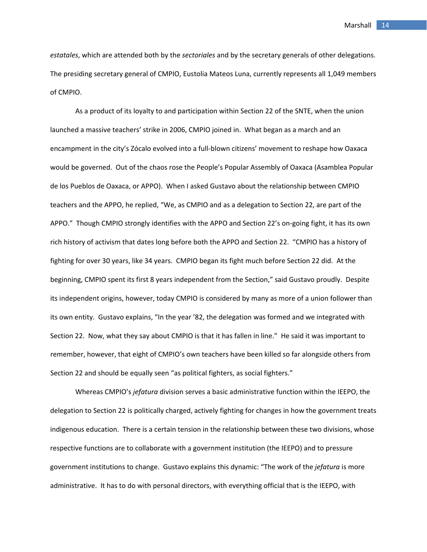*estatales*, which are attended both by the *sectoriales* and by the secretary generals of other delegations. The presiding secretary general of CMPIO, Eustolia Mateos Luna, currently represents all 1,049 members of CMPIO.

As a product of its loyalty to and participation within Section 22 of the SNTE, when the union launched a massive teachers' strike in 2006, CMPIO joined in. What began as a march and an encampment in the city's Zócalo evolved into a full‐blown citizens' movement to reshape how Oaxaca would be governed. Out of the chaos rose the People's Popular Assembly of Oaxaca (Asamblea Popular de los Pueblos de Oaxaca, or APPO). When I asked Gustavo about the relationship between CMPIO teachers and the APPO, he replied, "We, as CMPIO and as a delegation to Section 22, are part of the APPO." Though CMPIO strongly identifies with the APPO and Section 22's on‐going fight, it has its own rich history of activism that dates long before both the APPO and Section 22. "CMPIO has a history of fighting for over 30 years, like 34 years. CMPIO began its fight much before Section 22 did. At the beginning, CMPIO spent its first 8 years independent from the Section," said Gustavo proudly. Despite its independent origins, however, today CMPIO is considered by many as more of a union follower than its own entity. Gustavo explains, "In the year '82, the delegation was formed and we integrated with Section 22. Now, what they say about CMPIO is that it has fallen in line." He said it was important to remember, however, that eight of CMPIO's own teachers have been killed so far alongside others from Section 22 and should be equally seen "as political fighters, as social fighters."

Whereas CMPIO's *jefatura* division serves a basic administrative function within the IEEPO, the delegation to Section 22 is politically charged, actively fighting for changes in how the government treats indigenous education. There is a certain tension in the relationship between these two divisions, whose respective functions are to collaborate with a government institution (the IEEPO) and to pressure government institutions to change. Gustavo explains this dynamic: "The work of the *jefatura* is more administrative. It has to do with personal directors, with everything official that is the IEEPO, with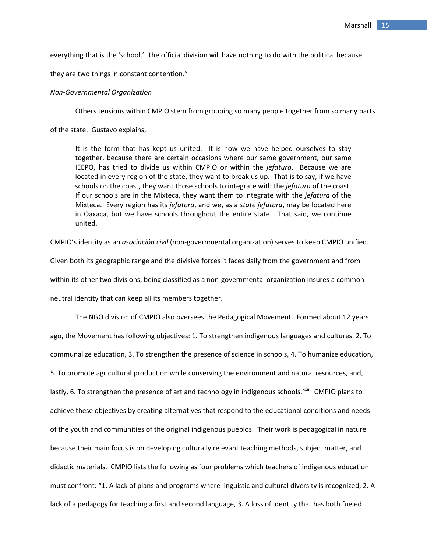everything that is the 'school.' The official division will have nothing to do with the political because

they are two things in constant contention."

### *Non‐Governmental Organization*

Others tensions within CMPIO stem from grouping so many people together from so many parts

of the state. Gustavo explains,

It is the form that has kept us united. It is how we have helped ourselves to stay together, because there are certain occasions where our same government, our same IEEPO, has tried to divide us within CMPIO or within the *jefatura*. Because we are located in every region of the state, they want to break us up. That is to say, if we have schools on the coast, they want those schools to integrate with the *jefatura* of the coast. If our schools are in the Mixteca, they want them to integrate with the *jefatura* of the Mixteca. Every region has its *jefatura*, and we, as a *state jefatura*, may be located here in Oaxaca, but we have schools throughout the entire state. That said, we continue united.

CMPIO's identity as an *asociación civil* (non‐governmental organization) serves to keep CMPIO unified.

Given both its geographic range and the divisive forces it faces daily from the government and from within its other two divisions, being classified as a non-governmental organization insures a common neutral identity that can keep all its members together.

The NGO division of CMPIO also oversees the Pedagogical Movement. Formed about 12 years ago, the Movement has following objectives: 1. To strengthen indigenous languages and cultures, 2. To communalize education, 3. To strengthen the presence of science in schools, 4. To humanize education, 5. To promote agricultural production while conserving the environment and natural resources, and, lastly, 6. To strengthen the presence of art and technology in indigenous schools.<sup>[xxiii](#page-35-1)</sup> CMPIO plans to achieve these objectives by creating alternatives that respond to the educational conditions and needs of the youth and communities of the original indigenous pueblos. Their work is pedagogical in nature because their main focus is on developing culturally relevant teaching methods, subject matter, and didactic materials. CMPIO lists the following as four problems which teachers of indigenous education must confront: "1. A lack of plans and programs where linguistic and cultural diversity is recognized, 2. A lack of a pedagogy for teaching a first and second language, 3. A loss of identity that has both fueled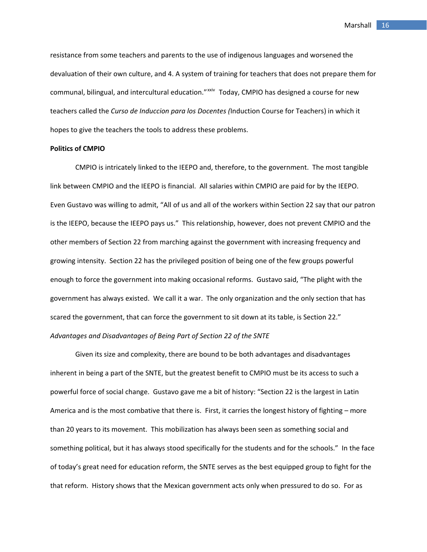resistance from some teachers and parents to the use of indigenous languages and worsened the devaluation of their own culture, and 4. A system of training for teachers that does not prepare them for communal, bilingual, and intercultural education."<sup>[xxiv](#page-35-1)</sup> Today, CMPIO has designed a course for new teachers called the *Curso de Induccion para los Docentes (*Induction Course for Teachers) in which it hopes to give the teachers the tools to address these problems.

## **Politics of CMPIO**

CMPIO is intricately linked to the IEEPO and, therefore, to the government. The most tangible link between CMPIO and the IEEPO is financial. All salaries within CMPIO are paid for by the IEEPO. Even Gustavo was willing to admit, "All of us and all of the workers within Section 22 say that our patron is the IEEPO, because the IEEPO pays us." This relationship, however, does not prevent CMPIO and the other members of Section 22 from marching against the government with increasing frequency and growing intensity. Section 22 has the privileged position of being one of the few groups powerful enough to force the government into making occasional reforms. Gustavo said, "The plight with the government has always existed. We call it a war. The only organization and the only section that has scared the government, that can force the government to sit down at its table, is Section 22." *Advantages and Disadvantages of Being Part of Section 22 of the SNTE*

Given its size and complexity, there are bound to be both advantages and disadvantages inherent in being a part of the SNTE, but the greatest benefit to CMPIO must be its access to such a powerful force of social change. Gustavo gave me a bit of history: "Section 22 is the largest in Latin America and is the most combative that there is. First, it carries the longest history of fighting – more than 20 years to its movement. This mobilization has always been seen as something social and something political, but it has always stood specifically for the students and for the schools." In the face of today's great need for education reform, the SNTE serves as the best equipped group to fight for the that reform. History shows that the Mexican government acts only when pressured to do so. For as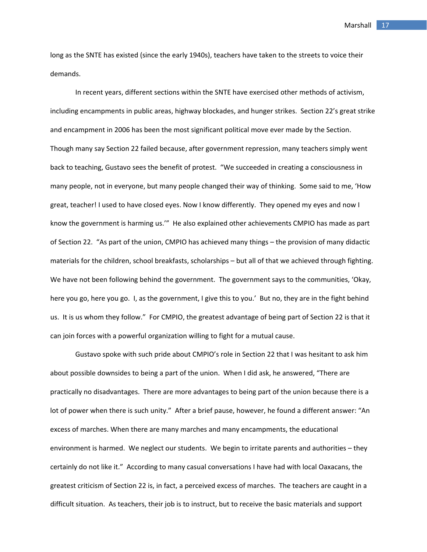long as the SNTE has existed (since the early 1940s), teachers have taken to the streets to voice their demands.

In recent years, different sections within the SNTE have exercised other methods of activism, including encampments in public areas, highway blockades, and hunger strikes. Section 22's great strike and encampment in 2006 has been the most significant political move ever made by the Section. Though many say Section 22 failed because, after government repression, many teachers simply went back to teaching, Gustavo sees the benefit of protest. "We succeeded in creating a consciousness in many people, not in everyone, but many people changed their way of thinking. Some said to me, 'How great, teacher! I used to have closed eyes. Now I know differently. They opened my eyes and now I know the government is harming us.'" He also explained other achievements CMPIO has made as part of Section 22. "As part of the union, CMPIO has achieved many things – the provision of many didactic materials for the children, school breakfasts, scholarships – but all of that we achieved through fighting. We have not been following behind the government. The government says to the communities, 'Okay, here you go, here you go. I, as the government, I give this to you.' But no, they are in the fight behind us. It is us whom they follow." For CMPIO, the greatest advantage of being part of Section 22 is that it can join forces with a powerful organization willing to fight for a mutual cause.

Gustavo spoke with such pride about CMPIO's role in Section 22 that I was hesitant to ask him about possible downsides to being a part of the union. When I did ask, he answered, "There are practically no disadvantages. There are more advantages to being part of the union because there is a lot of power when there is such unity." After a brief pause, however, he found a different answer: "An excess of marches. When there are many marches and many encampments, the educational environment is harmed. We neglect our students. We begin to irritate parents and authorities – they certainly do not like it." According to many casual conversations I have had with local Oaxacans, the greatest criticism of Section 22 is, in fact, a perceived excess of marches. The teachers are caught in a difficult situation. As teachers, their job is to instruct, but to receive the basic materials and support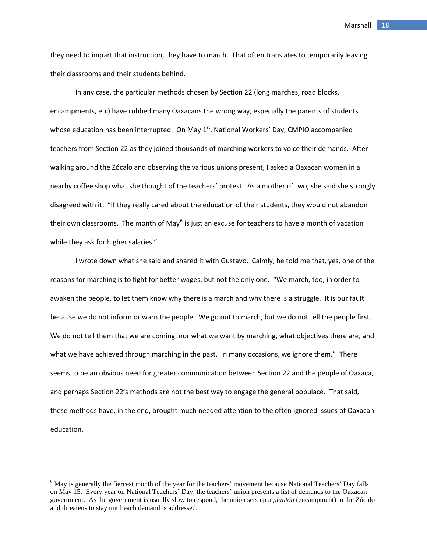they need to impart that instruction, they have to march. That often translates to temporarily leaving their classrooms and their students behind.

In any case, the particular methods chosen by Section 22 (long marches, road blocks, encampments, etc) have rubbed many Oaxacans the wrong way, especially the parents of students whose education has been interrupted. On May 1<sup>st</sup>, National Workers' Day, CMPIO accompanied teachers from Section 22 as they joined thousands of marching workers to voice their demands. After walking around the Zócalo and observing the various unions present, I asked a Oaxacan women in a nearby coffee shop what she thought of the teachers' protest. As a mother of two, she said she strongly disagreed with it. "If they really cared about the education of their students, they would not abandon their own classrooms. The month of May<sup>[6](#page-18-0)</sup> is just an excuse for teachers to have a month of vacation while they ask for higher salaries."

I wrote down what she said and shared it with Gustavo. Calmly, he told me that, yes, one of the reasons for marching is to fight for better wages, but not the only one. "We march, too, in order to awaken the people, to let them know why there is a march and why there is a struggle. It is our fault because we do not inform or warn the people. We go out to march, but we do not tell the people first. We do not tell them that we are coming, nor what we want by marching, what objectives there are, and what we have achieved through marching in the past. In many occasions, we ignore them." There seems to be an obvious need for greater communication between Section 22 and the people of Oaxaca, and perhaps Section 22's methods are not the best way to engage the general populace. That said, these methods have, in the end, brought much needed attention to the often ignored issues of Oaxacan education.

<span id="page-18-0"></span><sup>&</sup>lt;sup>6</sup> May is generally the fiercest month of the year for the teachers' movement because National Teachers' Day falls on May 15. Every year on National Teachers' Day, the teachers' union presents a list of demands to the Oaxacan government. As the government is usually slow to respond, the union sets up a *plantón* (encampment) in the Zócalo and threatens to stay until each demand is addressed.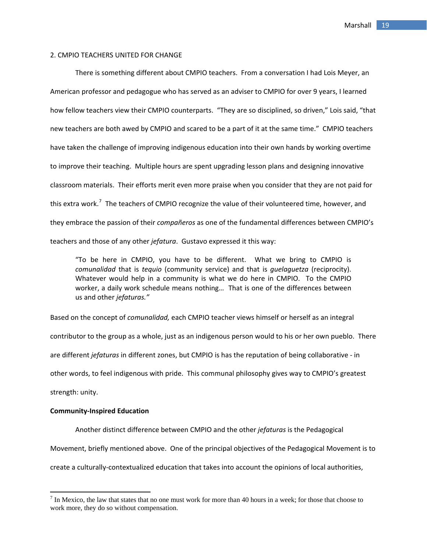## 2. CMPIO TEACHERS UNITED FOR CHANGE

There is something different about CMPIO teachers. From a conversation I had Lois Meyer, an American professor and pedagogue who has served as an adviser to CMPIO for over 9 years, I learned how fellow teachers view their CMPIO counterparts. "They are so disciplined, so driven," Lois said, "that new teachers are both awed by CMPIO and scared to be a part of it at the same time." CMPIO teachers have taken the challenge of improving indigenous education into their own hands by working overtime to improve their teaching. Multiple hours are spent upgrading lesson plans and designing innovative classroom materials. Their efforts merit even more praise when you consider that they are not paid for this extra work.<sup>[7](#page-19-0)</sup> The teachers of CMPIO recognize the value of their volunteered time, however, and they embrace the passion of their *compañeros* as one of the fundamental differences between CMPIO's teachers and those of any other *jefatura*. Gustavo expressed it this way:

"To be here in CMPIO, you have to be different. What we bring to CMPIO is *comunalidad* that is *tequio* (community service) and that is *guelaguetza* (reciprocity). Whatever would help in a community is what we do here in CMPIO. To the CMPIO worker, a daily work schedule means nothing… That is one of the differences between us and other *jefaturas."* 

Based on the concept of *comunalidad,* each CMPIO teacher views himself or herself as an integral contributor to the group as a whole, just as an indigenous person would to his or her own pueblo. There are different *jefaturas* in different zones, but CMPIO is has the reputation of being collaborative ‐ in other words, to feel indigenous with pride. This communal philosophy gives way to CMPIO's greatest strength: unity.

## **Community‐Inspired Education**

Another distinct difference between CMPIO and the other *jefaturas* is the Pedagogical Movement, briefly mentioned above. One of the principal objectives of the Pedagogical Movement is to create a culturally‐contextualized education that takes into account the opinions of local authorities,

<span id="page-19-0"></span> $<sup>7</sup>$  In Mexico, the law that states that no one must work for more than 40 hours in a week; for those that choose to</sup> work more, they do so without compensation.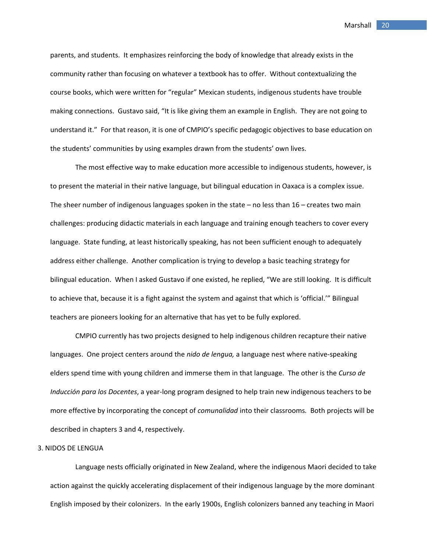parents, and students. It emphasizes reinforcing the body of knowledge that already exists in the community rather than focusing on whatever a textbook has to offer. Without contextualizing the course books, which were written for "regular" Mexican students, indigenous students have trouble making connections. Gustavo said, "It is like giving them an example in English. They are not going to understand it." For that reason, it is one of CMPIO's specific pedagogic objectives to base education on the students' communities by using examples drawn from the students' own lives.

The most effective way to make education more accessible to indigenous students, however, is to present the material in their native language, but bilingual education in Oaxaca is a complex issue. The sheer number of indigenous languages spoken in the state  $-$  no less than  $16$  – creates two main challenges: producing didactic materials in each language and training enough teachers to cover every language. State funding, at least historically speaking, has not been sufficient enough to adequately address either challenge. Another complication is trying to develop a basic teaching strategy for bilingual education. When I asked Gustavo if one existed, he replied, "We are still looking. It is difficult to achieve that, because it is a fight against the system and against that which is 'official.'" Bilingual teachers are pioneers looking for an alternative that has yet to be fully explored.

CMPIO currently has two projects designed to help indigenous children recapture their native languages. One project centers around the *nido de lengua,* a language nest where native‐speaking elders spend time with young children and immerse them in that language. The other is the *Curso de Inducción para los Docentes*, a year‐long program designed to help train new indigenous teachers to be more effective by incorporating the concept of *comunalidad* into their classrooms*.* Both projects will be described in chapters 3 and 4, respectively.

## 3. NIDOS DE LENGUA

Language nests officially originated in New Zealand, where the indigenous Maori decided to take action against the quickly accelerating displacement of their indigenous language by the more dominant English imposed by their colonizers. In the early 1900s, English colonizers banned any teaching in Maori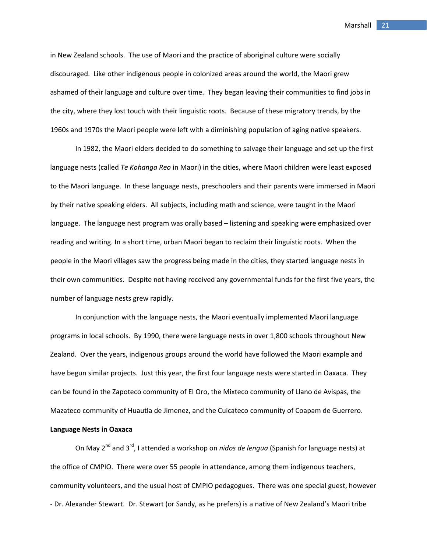in New Zealand schools. The use of Maori and the practice of aboriginal culture were socially discouraged. Like other indigenous people in colonized areas around the world, the Maori grew ashamed of their language and culture over time. They began leaving their communities to find jobs in the city, where they lost touch with their linguistic roots. Because of these migratory trends, by the 1960s and 1970s the Maori people were left with a diminishing population of aging native speakers.

In 1982, the Maori elders decided to do something to salvage their language and set up the first language nests (called *Te Kohanga Reo* in Maori) in the cities, where Maori children were least exposed to the Maori language. In these language nests, preschoolers and their parents were immersed in Maori by their native speaking elders. All subjects, including math and science, were taught in the Maori language. The language nest program was orally based – listening and speaking were emphasized over reading and writing. In a short time, urban Maori began to reclaim their linguistic roots. When the people in the Maori villages saw the progress being made in the cities, they started language nests in their own communities. Despite not having received any governmental funds for the first five years, the number of language nests grew rapidly.

In conjunction with the language nests, the Maori eventually implemented Maori language programs in local schools. By 1990, there were language nests in over 1,800 schools throughout New Zealand. Over the years, indigenous groups around the world have followed the Maori example and have begun similar projects. Just this year, the first four language nests were started in Oaxaca. They can be found in the Zapoteco community of El Oro, the Mixteco community of Llano de Avispas, the Mazateco community of Huautla de Jimenez, and the Cuicateco community of Coapam de Guerrero.

## **Language Nests in Oaxaca**

On May 2nd and 3rd, I attended a workshop on *nidos de lengua* (Spanish for language nests) at the office of CMPIO. There were over 55 people in attendance, among them indigenous teachers, community volunteers, and the usual host of CMPIO pedagogues. There was one special guest, however ‐ Dr. Alexander Stewart. Dr. Stewart (or Sandy, as he prefers) is a native of New Zealand's Maori tribe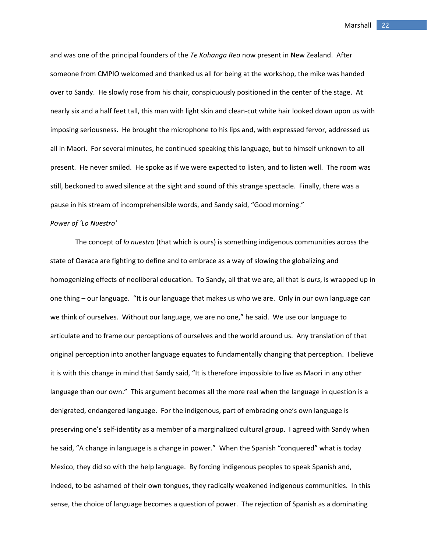and was one of the principal founders of the *Te Kohanga Reo* now present in New Zealand. After someone from CMPIO welcomed and thanked us all for being at the workshop, the mike was handed over to Sandy. He slowly rose from his chair, conspicuously positioned in the center of the stage. At nearly six and a half feet tall, this man with light skin and clean-cut white hair looked down upon us with imposing seriousness. He brought the microphone to his lips and, with expressed fervor, addressed us all in Maori. For several minutes, he continued speaking this language, but to himself unknown to all present. He never smiled. He spoke as if we were expected to listen, and to listen well. The room was still, beckoned to awed silence at the sight and sound of this strange spectacle. Finally, there was a pause in his stream of incomprehensible words, and Sandy said, "Good morning."

#### *Power of 'Lo Nuestro'*

The concept of *lo nuestro* (that which is ours) is something indigenous communities across the state of Oaxaca are fighting to define and to embrace as a way of slowing the globalizing and homogenizing effects of neoliberal education. To Sandy, all that we are, all that is *ours*, is wrapped up in one thing – our language. "It is our language that makes us who we are. Only in our own language can we think of ourselves. Without our language, we are no one," he said. We use our language to articulate and to frame our perceptions of ourselves and the world around us. Any translation of that original perception into another language equates to fundamentally changing that perception. I believe it is with this change in mind that Sandy said, "It is therefore impossible to live as Maori in any other language than our own." This argument becomes all the more real when the language in question is a denigrated, endangered language. For the indigenous, part of embracing one's own language is preserving one's self‐identity as a member of a marginalized cultural group. I agreed with Sandy when he said, "A change in language is a change in power." When the Spanish "conquered" what is today Mexico, they did so with the help language. By forcing indigenous peoples to speak Spanish and, indeed, to be ashamed of their own tongues, they radically weakened indigenous communities. In this sense, the choice of language becomes a question of power. The rejection of Spanish as a dominating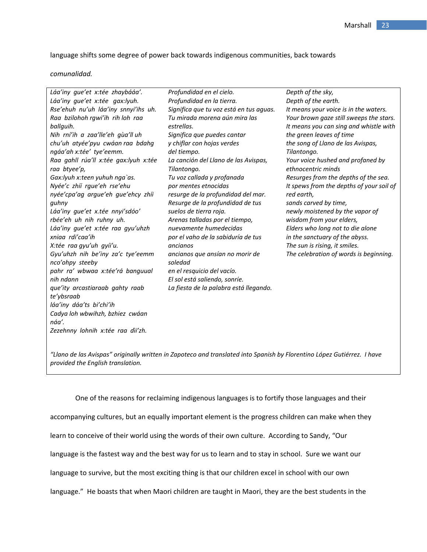language shifts some degree of power back towards indigenous communities, back towards

*comunalidad.*

| Láa'iny gue'et x:tée zhaybááa'.       | Profundidad en el cielo.                | Depth of the sky,                        |
|---------------------------------------|-----------------------------------------|------------------------------------------|
| Láa'iny gue'et x:tée gax:lyuh.        | Profundidad en la tierra.               | Depth of the earth.                      |
| Rse'ehuh nu'uh láa'iny snnyi'ihs uh.  | Significa que tu voz está en tus aguas. | It means your voice is in the waters.    |
| Raa bzilohoh rgwi'ih rih loh raa      | Tu mirada morena aún mira las           | Your brown gaze still sweeps the stars.  |
| ballguih.                             | estrellas.                              | It means you can sing and whistle with   |
| Nih rní'ih a zaa'lle'eh gùa'll uh     | Significa que puedes cantar             | the green leaves of time                 |
| chu'uh atyée'pyu cwáan raa bdahg      | y chiflar con hojas verdes              | the song of Llano de las Avispas,        |
| ngáa'ah x:tée' tye'eemm.              | del tiempo.                             | Tilantongo.                              |
| Raa gahll rúa'll x:tée gax:lyuh x:tée | La canción del Llano de las Avispas,    | Your voice hushed and profaned by        |
| raa btyee'p,                          | Tilantongo.                             | ethnocentric minds                       |
| Gax:lyuh x:teen yuhuh nga`as.         | Tu voz callada y profanada              | Resurges from the depths of the sea.     |
| Nyée'c zhíí rgue'eh rse'ehu           | por mentes etnocidas                    | It spews from the depths of your soil of |
| nyée'cpa'ag argue'eh gue'ehcy zhíi    | resurge de la profundidad del mar.      | red earth,                               |
| guhny                                 | Resurge de la profundidad de tus        | sands carved by time,                    |
| Láa'iny gue'et x.tée nnyi'sdóo'       | suelos de tierra roja.                  | newly moistened by the vapor of          |
| rbée'eh uh nih ruhny uh.              | Arenas talladas por el tiempo,          | wisdom from your elders,                 |
| Láa'iny que'et x:tée raa gyu'uhzh     | nuevamente humedecidas                  | Elders who long not to die alone         |
| xniga rdi'caa'ih                      | por el vaho de la sabiduría de tus      | in the sanctuary of the abyss.           |
| X:tée raa gyu'uh gyíi'u.              | ancianos                                | The sun is rising, it smiles.            |
| Gyu'uhzh nih be'iny za'c tye'eemm     | ancianos que ansían no morir de         | The celebration of words is beginning.   |
| nco'ohpy steeby                       | soledad                                 |                                          |
| pahr ra' wbwaa x:tée'rá banguual      | en el resquicio del vacío.              |                                          |
| nih ndann                             | El sol está saliendo, sonríe.           |                                          |
| que'ity arcastiaraab gahty raab       | La fiesta de la palabra está llegando.  |                                          |
| te'ybsraab                            |                                         |                                          |
| láa'iny dáa'ts bi'chi'ih              |                                         |                                          |
| Cadya loh wbwihzh, bzhiez cwáan       |                                         |                                          |
| náa'.                                 |                                         |                                          |
| Zezehnny lohnih x:tée raa dìi'zh.     |                                         |                                          |

"Llano de las Avispas" originally written in Zapoteco and translated into Spanish by Florentino López Gutiérrez. I have *provided the English translation.*

One of the reasons for reclaiming indigenous languages is to fortify those languages and their accompanying cultures, but an equally important element is the progress children can make when they learn to conceive of their world using the words of their own culture. According to Sandy, "Our language is the fastest way and the best way for us to learn and to stay in school. Sure we want our language to survive, but the most exciting thing is that our children excel in school with our own language." He boasts that when Maori children are taught in Maori, they are the best students in the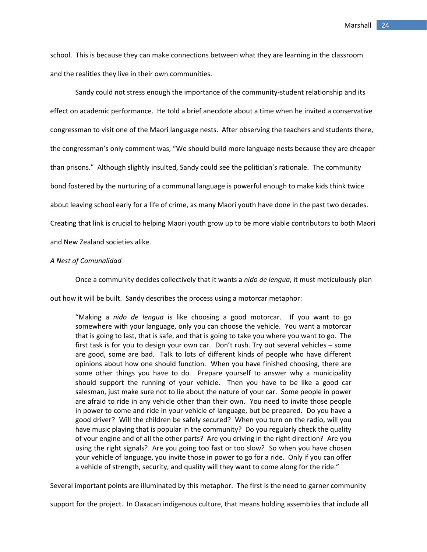school. This is because they can make connections between what they are learning in the classroom and the realities they live in their own communities.

Sandy could not stress enough the importance of the community-student relationship and its effect on academic performance. He told a brief anecdote about a time when he invited a conservative congressman to visit one of the Maori language nests. After observing the teachers and students there, the congressman's only comment was, "We should build more language nests because they are cheaper than prisons." Although slightly insulted, Sandy could see the politician's rationale. The community bond fostered by the nurturing of a communal language is powerful enough to make kids think twice about leaving school early for a life of crime, as many Maori youth have done in the past two decades. Creating that link is crucial to helping Maori youth grow up to be more viable contributors to both Maori and New Zealand societies alike.

## *A Nest of Comunalidad*

Once a community decides collectively that it wants a *nido de lengua*, it must meticulously plan out how it will be built. Sandy describes the process using a motorcar metaphor:

"Making a *nido de lengua* is like choosing a good motorcar. If you want to go somewhere with your language, only you can choose the vehicle. You want a motorcar that is going to last, that is safe, and that is going to take you where you want to go. The first task is for you to design your own car. Don't rush. Try out several vehicles – some are good, some are bad. Talk to lots of different kinds of people who have different opinions about how one should function. When you have finished choosing, there are some other things you have to do. Prepare yourself to answer why a municipality should support the running of your vehicle. Then you have to be like a good car salesman, just make sure not to lie about the nature of your car. Some people in power are afraid to ride in any vehicle other than their own. You need to invite those people in power to come and ride in your vehicle of language, but be prepared. Do you have a good driver? Will the children be safely secured? When you turn on the radio, will you have music playing that is popular in the community? Do you regularly check the quality of your engine and of all the other parts? Are you driving in the right direction? Are you using the right signals? Are you going too fast or too slow? So when you have chosen your vehicle of language, you invite those in power to go for a ride. Only if you can offer a vehicle of strength, security, and quality will they want to come along for the ride."

Several important points are illuminated by this metaphor. The first is the need to garner community

support for the project. In Oaxacan indigenous culture, that means holding assemblies that include all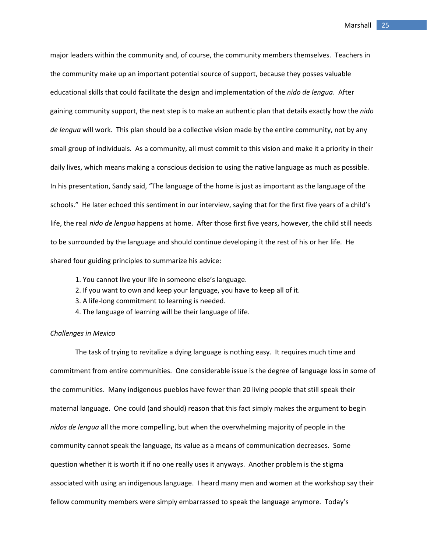major leaders within the community and, of course, the community members themselves. Teachers in the community make up an important potential source of support, because they posses valuable educational skills that could facilitate the design and implementation of the *nido de lengua*. After gaining community support, the next step is to make an authentic plan that details exactly how the *nido de lengua* will work. This plan should be a collective vision made by the entire community, not by any small group of individuals. As a community, all must commit to this vision and make it a priority in their daily lives, which means making a conscious decision to using the native language as much as possible. In his presentation, Sandy said, "The language of the home is just as important as the language of the schools." He later echoed this sentiment in our interview, saying that for the first five years of a child's life, the real *nido de lengua* happens at home. After those first five years, however, the child still needs to be surrounded by the language and should continue developing it the rest of his or her life. He shared four guiding principles to summarize his advice:

- 1. You cannot live your life in someone else's language.
- 2. If you want to own and keep your language, you have to keep all of it.
- 3. A life‐long commitment to learning is needed.
- 4. The language of learning will be their language of life.

## *Challenges in Mexico*

The task of trying to revitalize a dying language is nothing easy. It requires much time and commitment from entire communities. One considerable issue is the degree of language loss in some of the communities. Many indigenous pueblos have fewer than 20 living people that still speak their maternal language. One could (and should) reason that this fact simply makes the argument to begin *nidos de lengua* all the more compelling, but when the overwhelming majority of people in the community cannot speak the language, its value as a means of communication decreases. Some question whether it is worth it if no one really uses it anyways. Another problem is the stigma associated with using an indigenous language. I heard many men and women at the workshop say their fellow community members were simply embarrassed to speak the language anymore. Today's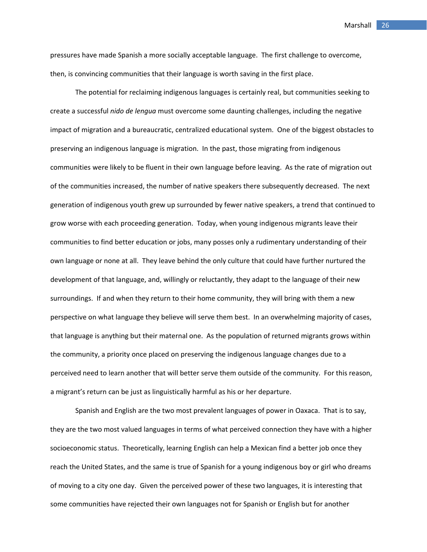pressures have made Spanish a more socially acceptable language. The first challenge to overcome, then, is convincing communities that their language is worth saving in the first place.

The potential for reclaiming indigenous languages is certainly real, but communities seeking to create a successful *nido de lengua* must overcome some daunting challenges, including the negative impact of migration and a bureaucratic, centralized educational system. One of the biggest obstacles to preserving an indigenous language is migration. In the past, those migrating from indigenous communities were likely to be fluent in their own language before leaving. As the rate of migration out of the communities increased, the number of native speakers there subsequently decreased. The next generation of indigenous youth grew up surrounded by fewer native speakers, a trend that continued to grow worse with each proceeding generation. Today, when young indigenous migrants leave their communities to find better education or jobs, many posses only a rudimentary understanding of their own language or none at all. They leave behind the only culture that could have further nurtured the development of that language, and, willingly or reluctantly, they adapt to the language of their new surroundings. If and when they return to their home community, they will bring with them a new perspective on what language they believe will serve them best. In an overwhelming majority of cases, that language is anything but their maternal one. As the population of returned migrants grows within the community, a priority once placed on preserving the indigenous language changes due to a perceived need to learn another that will better serve them outside of the community. For this reason, a migrant's return can be just as linguistically harmful as his or her departure.

Spanish and English are the two most prevalent languages of power in Oaxaca. That is to say, they are the two most valued languages in terms of what perceived connection they have with a higher socioeconomic status. Theoretically, learning English can help a Mexican find a better job once they reach the United States, and the same is true of Spanish for a young indigenous boy or girl who dreams of moving to a city one day. Given the perceived power of these two languages, it is interesting that some communities have rejected their own languages not for Spanish or English but for another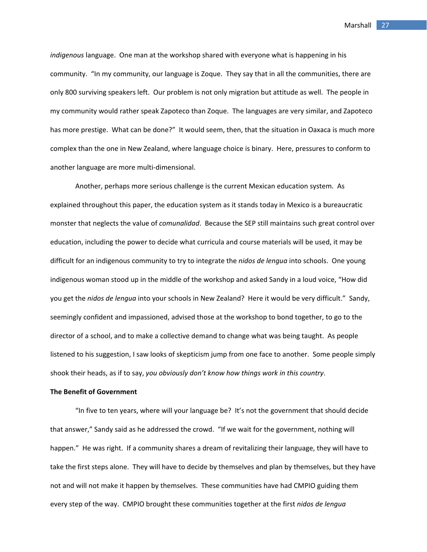*indigenous* language. One man at the workshop shared with everyone what is happening in his community. "In my community, our language is Zoque. They say that in all the communities, there are only 800 surviving speakers left. Our problem is not only migration but attitude as well. The people in my community would rather speak Zapoteco than Zoque. The languages are very similar, and Zapoteco has more prestige. What can be done?" It would seem, then, that the situation in Oaxaca is much more complex than the one in New Zealand, where language choice is binary. Here, pressures to conform to another language are more multi‐dimensional.

Another, perhaps more serious challenge is the current Mexican education system. As explained throughout this paper, the education system as it stands today in Mexico is a bureaucratic monster that neglects the value of *comunalidad*. Because the SEP still maintains such great control over education, including the power to decide what curricula and course materials will be used, it may be difficult for an indigenous community to try to integrate the *nidos de lengua* into schools. One young indigenous woman stood up in the middle of the workshop and asked Sandy in a loud voice, "How did you get the *nidos de lengua* into your schools in New Zealand? Here it would be very difficult." Sandy, seemingly confident and impassioned, advised those at the workshop to bond together, to go to the director of a school, and to make a collective demand to change what was being taught. As people listened to his suggestion, I saw looks of skepticism jump from one face to another. Some people simply shook their heads, as if to say, *you obviously don't know how things work in this country*.

#### **The Benefit of Government**

"In five to ten years, where will your language be? It's not the government that should decide that answer," Sandy said as he addressed the crowd. "If we wait for the government, nothing will happen." He was right. If a community shares a dream of revitalizing their language, they will have to take the first steps alone. They will have to decide by themselves and plan by themselves, but they have not and will not make it happen by themselves. These communities have had CMPIO guiding them every step of the way. CMPIO brought these communities together at the first *nidos de lengua*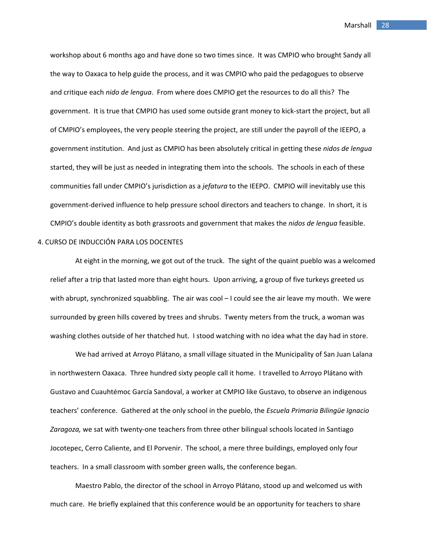workshop about 6 months ago and have done so two times since. It was CMPIO who brought Sandy all the way to Oaxaca to help guide the process, and it was CMPIO who paid the pedagogues to observe and critique each *nido de lengua*. From where does CMPIO get the resources to do all this? The government. It is true that CMPIO has used some outside grant money to kick‐start the project, but all of CMPIO's employees, the very people steering the project, are still under the payroll of the IEEPO, a government institution. And just as CMPIO has been absolutely critical in getting these *nidos de lengua* started, they will be just as needed in integrating them into the schools. The schools in each of these communities fall under CMPIO's jurisdiction as a *jefatura* to the IEEPO. CMPIO will inevitably use this government‐derived influence to help pressure school directors and teachers to change. In short, it is CMPIO's double identity as both grassroots and government that makes the *nidos de lengua* feasible.

## 4. CURSO DE INDUCCIÓN PARA LOS DOCENTES

At eight in the morning, we got out of the truck. The sight of the quaint pueblo was a welcomed relief after a trip that lasted more than eight hours. Upon arriving, a group of five turkeys greeted us with abrupt, synchronized squabbling. The air was cool - I could see the air leave my mouth. We were surrounded by green hills covered by trees and shrubs. Twenty meters from the truck, a woman was washing clothes outside of her thatched hut. I stood watching with no idea what the day had in store.

We had arrived at Arroyo Plátano, a small village situated in the Municipality of San Juan Lalana in northwestern Oaxaca. Three hundred sixty people call it home. I travelled to Arroyo Plátano with Gustavo and Cuauhtémoc García Sandoval, a worker at CMPIO like Gustavo, to observe an indigenous teachers' conference. Gathered at the only school in the pueblo, the *Escuela Primaria Bilingüe Ignacio Zaragoza,* we sat with twenty‐one teachers from three other bilingual schools located in Santiago Jocotepec, Cerro Caliente, and El Porvenir. The school, a mere three buildings, employed only four teachers. In a small classroom with somber green walls, the conference began.

Maestro Pablo, the director of the school in Arroyo Plátano, stood up and welcomed us with much care. He briefly explained that this conference would be an opportunity for teachers to share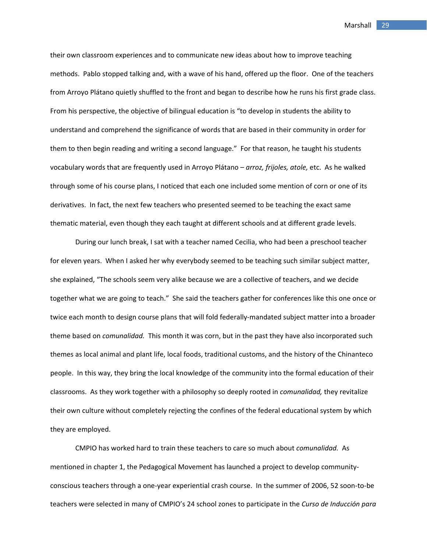their own classroom experiences and to communicate new ideas about how to improve teaching methods. Pablo stopped talking and, with a wave of his hand, offered up the floor. One of the teachers from Arroyo Plátano quietly shuffled to the front and began to describe how he runs his first grade class. From his perspective, the objective of bilingual education is "to develop in students the ability to understand and comprehend the significance of words that are based in their community in order for them to then begin reading and writing a second language." For that reason, he taught his students vocabulary words that are frequently used in Arroyo Plátano – *arroz, frijoles, atole,* etc. As he walked through some of his course plans, I noticed that each one included some mention of corn or one of its derivatives. In fact, the next few teachers who presented seemed to be teaching the exact same thematic material, even though they each taught at different schools and at different grade levels.

During our lunch break, I sat with a teacher named Cecilia, who had been a preschool teacher for eleven years. When I asked her why everybody seemed to be teaching such similar subject matter, she explained, "The schools seem very alike because we are a collective of teachers, and we decide together what we are going to teach." She said the teachers gather for conferences like this one once or twice each month to design course plans that will fold federally‐mandated subject matter into a broader theme based on *comunalidad.* This month it was corn, but in the past they have also incorporated such themes as local animal and plant life, local foods, traditional customs, and the history of the Chinanteco people. In this way, they bring the local knowledge of the community into the formal education of their classrooms. As they work together with a philosophy so deeply rooted in *comunalidad,* they revitalize their own culture without completely rejecting the confines of the federal educational system by which they are employed.

CMPIO has worked hard to train these teachers to care so much about *comunalidad.* As mentioned in chapter 1, the Pedagogical Movement has launched a project to develop communityconscious teachers through a one‐year experiential crash course. In the summer of 2006, 52 soon‐to‐be teachers were selected in many of CMPIO's 24 school zones to participate in the *Curso de Inducción para*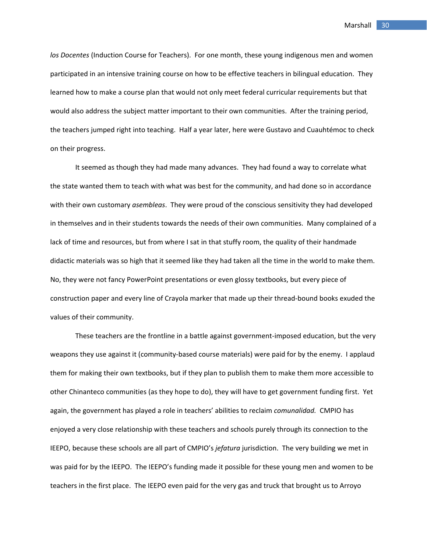*los Docentes* (Induction Course for Teachers). For one month, these young indigenous men and women participated in an intensive training course on how to be effective teachers in bilingual education. They learned how to make a course plan that would not only meet federal curricular requirements but that would also address the subject matter important to their own communities. After the training period, the teachers jumped right into teaching. Half a year later, here were Gustavo and Cuauhtémoc to check on their progress.

It seemed as though they had made many advances. They had found a way to correlate what the state wanted them to teach with what was best for the community, and had done so in accordance with their own customary *asembleas*. They were proud of the conscious sensitivity they had developed in themselves and in their students towards the needs of their own communities. Many complained of a lack of time and resources, but from where I sat in that stuffy room, the quality of their handmade didactic materials was so high that it seemed like they had taken all the time in the world to make them. No, they were not fancy PowerPoint presentations or even glossy textbooks, but every piece of construction paper and every line of Crayola marker that made up their thread‐bound books exuded the values of their community.

These teachers are the frontline in a battle against government‐imposed education, but the very weapons they use against it (community‐based course materials) were paid for by the enemy. I applaud them for making their own textbooks, but if they plan to publish them to make them more accessible to other Chinanteco communities (as they hope to do), they will have to get government funding first. Yet again, the government has played a role in teachers' abilities to reclaim *comunalidad.* CMPIO has enjoyed a very close relationship with these teachers and schools purely through its connection to the IEEPO, because these schools are all part of CMPIO's *jefatura* jurisdiction. The very building we met in was paid for by the IEEPO. The IEEPO's funding made it possible for these young men and women to be teachers in the first place. The IEEPO even paid for the very gas and truck that brought us to Arroyo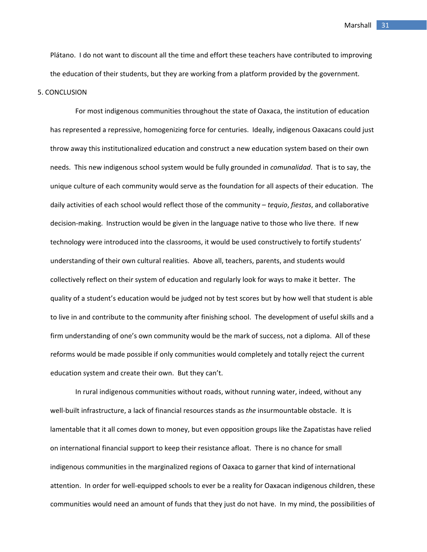Plátano. I do not want to discount all the time and effort these teachers have contributed to improving the education of their students, but they are working from a platform provided by the government.

## 5. CONCLUSION

For most indigenous communities throughout the state of Oaxaca, the institution of education has represented a repressive, homogenizing force for centuries. Ideally, indigenous Oaxacans could just throw away this institutionalized education and construct a new education system based on their own needs. This new indigenous school system would be fully grounded in *comunalidad*. That is to say, the unique culture of each community would serve as the foundation for all aspects of their education. The daily activities of each school would reflect those of the community – *tequio*, *fiestas*, and collaborative decision‐making. Instruction would be given in the language native to those who live there. If new technology were introduced into the classrooms, it would be used constructively to fortify students' understanding of their own cultural realities. Above all, teachers, parents, and students would collectively reflect on their system of education and regularly look for ways to make it better. The quality of a student's education would be judged not by test scores but by how well that student is able to live in and contribute to the community after finishing school. The development of useful skills and a firm understanding of one's own community would be the mark of success, not a diploma. All of these reforms would be made possible if only communities would completely and totally reject the current education system and create their own. But they can't.

In rural indigenous communities without roads, without running water, indeed, without any well‐built infrastructure, a lack of financial resources stands as *the* insurmountable obstacle. It is lamentable that it all comes down to money, but even opposition groups like the Zapatistas have relied on international financial support to keep their resistance afloat. There is no chance for small indigenous communities in the marginalized regions of Oaxaca to garner that kind of international attention. In order for well‐equipped schools to ever be a reality for Oaxacan indigenous children, these communities would need an amount of funds that they just do not have. In my mind, the possibilities of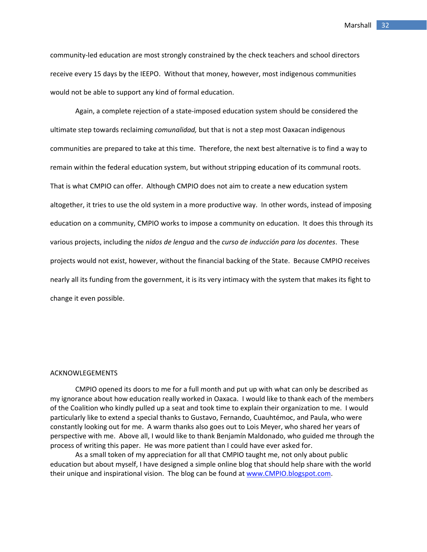community‐led education are most strongly constrained by the check teachers and school directors receive every 15 days by the IEEPO. Without that money, however, most indigenous communities would not be able to support any kind of formal education.

Again, a complete rejection of a state-imposed education system should be considered the ultimate step towards reclaiming *comunalidad,* but that is not a step most Oaxacan indigenous communities are prepared to take at this time. Therefore, the next best alternative is to find a way to remain within the federal education system, but without stripping education of its communal roots. That is what CMPIO can offer. Although CMPIO does not aim to create a new education system altogether, it tries to use the old system in a more productive way. In other words, instead of imposing education on a community, CMPIO works to impose a community on education. It does this through its various projects, including the *nidos de lengua* and the *curso de inducción para los docentes*. These projects would not exist, however, without the financial backing of the State. Because CMPIO receives nearly all its funding from the government, it is its very intimacy with the system that makes its fight to change it even possible.

#### ACKNOWLEGEMENTS

CMPIO opened its doors to me for a full month and put up with what can only be described as my ignorance about how education really worked in Oaxaca. I would like to thank each of the members of the Coalition who kindly pulled up a seat and took time to explain their organization to me. I would particularly like to extend a special thanks to Gustavo, Fernando, Cuauhtémoc, and Paula, who were constantly looking out for me. A warm thanks also goes out to Lois Meyer, who shared her years of perspective with me. Above all, I would like to thank Benjamín Maldonado, who guided me through the process of writing this paper. He was more patient than I could have ever asked for.

As a small token of my appreciation for all that CMPIO taught me, not only about public education but about myself, I have designed a simple online blog that should help share with the world their unique and inspirational vision. The blog can be found at [www.CMPIO.blogspot.com.](http://www.cmpio.blogspot.com/)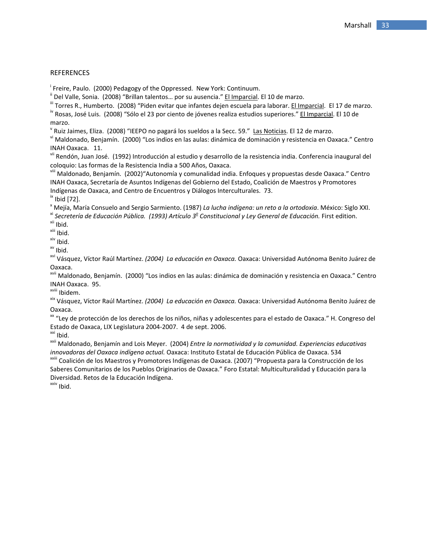## **REFERENCES**

<sup>i</sup> Freire, Paulo. (2000) Pedagogy of the Oppressed. New York: Continuum.

" Del Valle, Sonia. (2008) "Brillan talentos... por su ausencia." <u>El Imparcial</u>. El 10 de marzo.<br>"Torres R., Humberto. (2008) "Piden evitar que infantes dejen escuela para laborar. <u>El Imparcial</u>. El 17 de marzo.<br>"X Rosas

marzo.<br><sup>V</sup> Ruiz Jaimes, Eliza. (2008) "IEEPO no pagará los sueldos a la Secc. 59." Las Noticias. El 12 de marzo.

vi Maldonado, Benjamín. (2000) "Los indios en las aulas: dinámica de dominación y resistencia en Oaxaca." Centro

INAH Oaxaca. 11.<br><sup>vii</sup> Rendón, Juan José. (1992) Introducción al estudio y desarrollo de la resistencia india. Conferencia inaugural del<br>coloquio: Las formas de la Resistencia India a 500 Años, Oaxaca.

vili Maldonado, Benjamín. (2002)"Autonomía y comunalidad india. Enfoques y propuestas desde Oaxaca." Centro INAH Oaxaca, Secretaría de Asuntos Indígenas del Gobierno del Estado, Coalición de Maestros y Promotores

Indígenas de Oaxaca, and Centro de Encuentros y Diálogos Interculturales. 73.<br>
<sup>ix</sup> Ibid [72].<br>
<sup>\*</sup> Mejía, María Consuelo and Sergio Sarmiento. (1987) *La lucha indígena: un reto a la ortodoxia*. México: Siglo XXI.<br>
<sup>\*</sup> *S* 

Oaxaca.

<sup>xvii</sup> Maldonado, Benjamín. (2000) "Los indios en las aulas: dinámica de dominación y resistencia en Oaxaca." Centro<br>INAH Oaxaca. 95.

<sup>xviii</sup> Ibidem.<br><sup>xix</sup> Vásquez, Víctor Raúl Martínez. *(2004) La educación en Oaxaca.* Oaxaca: Universidad Autónoma Benito Juárez de Oaxaca.

xx "Ley de protección de los derechos de los niños, niñas y adolescentes para el estado de Oaxaca." H. Congreso del Estado de Oaxaca, LIX Legislatura 2004-2007. 4 de sept. 2006.<br><sup>xxi</sup> Ibid.<br><sup>xxii</sup> Maldonado, Benjamín and Lois Meyer. (2004) *Entre la normatividad y la comunidad. Experiencias educativas* 

innovadoras del Oaxaca indígena actual. Oaxaca: Instituto Estatal de Educación Pública de Oaxaca. 534<br><sup>xxili</sup> Coalición de los Maestros y Promotores Indígenas de Oaxaca. (2007) "Propuesta para la Construcción de los

Saberes Comunitarios de los Pueblos Originarios de Oaxaca." Foro Estatal: Multiculturalidad y Educación para la Diversidad. Retos de la Educación Indígena.<br><sup>xxiv</sup> Ibid.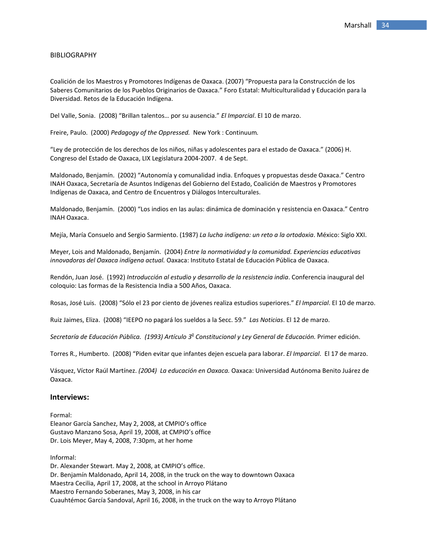#### BIBLIOGRAPHY

Coalición de los Maestros y Promotores Indígenas de Oaxaca. (2007) "Propuesta para la Construcción de los Saberes Comunitarios de los Pueblos Originarios de Oaxaca." Foro Estatal: Multiculturalidad y Educación para la Diversidad. Retos de la Educación Indígena.

Del Valle, Sonia. (2008) "Brillan talentos… por su ausencia." *El Imparcial*. El 10 de marzo.

Freire, Paulo. (2000) *Pedagogy of the Oppressed.* New York : Continuum*.*

"Ley de protección de los derechos de los niños, niñas y adolescentes para el estado de Oaxaca." (2006) H. Congreso del Estado de Oaxaca, LIX Legislatura 2004‐2007. 4 de Sept.

Maldonado, Benjamín. (2002) "Autonomía y comunalidad india. Enfoques y propuestas desde Oaxaca." Centro INAH Oaxaca, Secretaría de Asuntos Indígenas del Gobierno del Estado, Coalición de Maestros y Promotores Indígenas de Oaxaca, and Centro de Encuentros y Diálogos Interculturales.

Maldonado, Benjamín. (2000) "Los indios en las aulas: dinámica de dominación y resistencia en Oaxaca." Centro INAH Oaxaca.

Mejía, María Consuelo and Sergio Sarmiento. (1987) *La lucha indígena: un reto a la ortodoxia*. México: Siglo XXI.

Meyer, Lois and Maldonado, Benjamín. (2004) *Entre la normatividad y la comunidad. Experiencias educativas innovadoras del Oaxaca indígena actual.* Oaxaca: Instituto Estatal de Educación Pública de Oaxaca.

Rendón, Juan José. (1992) *Introducción al estudio y desarrollo de la resistencia india*. Conferencia inaugural del coloquio: Las formas de la Resistencia India a 500 Años, Oaxaca.

Rosas, José Luis. (2008) "Sólo el 23 por ciento de jóvenes realiza estudios superiores." *El Imparcial*. El 10 de marzo.

Ruiz Jaimes, Eliza. (2008) "IEEPO no pagará los sueldos a la Secc. 59." *Las Noticias*. El 12 de marzo.

*Secretaría de Educación Pública. (1993) Artículo 3o Constitucional y Ley General de Educación.* Primer edición.

Torres R., Humberto. (2008) "Piden evitar que infantes dejen escuela para laborar. *El Imparcial*. El 17 de marzo.

Vásquez, Víctor Raúl Martínez. *(2004) La educación en Oaxaca.* Oaxaca: Universidad Autónoma Benito Juárez de Oaxaca.

#### **Interviews:**

Formal: Eleanor García Sanchez, May 2, 2008, at CMPIO's office Gustavo Manzano Sosa, April 19, 2008, at CMPIO's office Dr. Lois Meyer, May 4, 2008, 7:30pm, at her home

Informal:

Dr. Alexander Stewart. May 2, 2008, at CMPIO's office. Dr. Benjamín Maldonado, April 14, 2008, in the truck on the way to downtown Oaxaca Maestra Cecilia, April 17, 2008, at the school in Arroyo Plátano Maestro Fernando Soberanes, May 3, 2008, in his car Cuauhtémoc García Sandoval, April 16, 2008, in the truck on the way to Arroyo Plátano